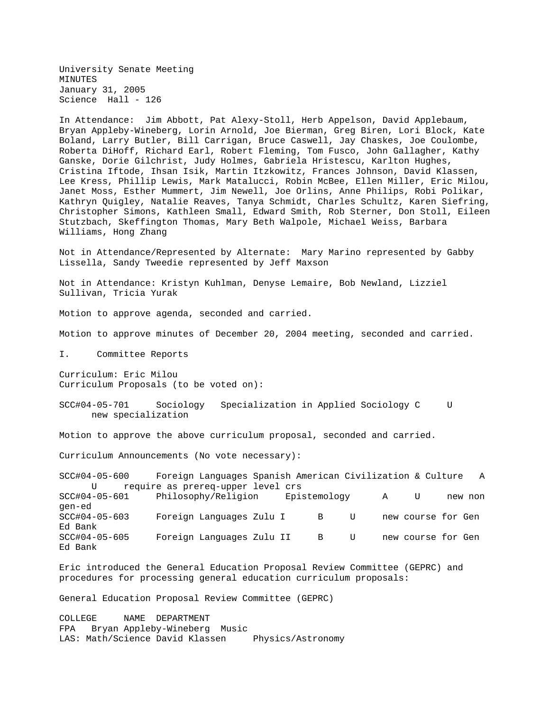University Senate Meeting MINUTES January 31, 2005 Science Hall - 126

In Attendance: Jim Abbott, Pat Alexy-Stoll, Herb Appelson, David Applebaum, Bryan Appleby-Wineberg, Lorin Arnold, Joe Bierman, Greg Biren, Lori Block, Kate Boland, Larry Butler, Bill Carrigan, Bruce Caswell, Jay Chaskes, Joe Coulombe, Roberta DiHoff, Richard Earl, Robert Fleming, Tom Fusco, John Gallagher, Kathy Ganske, Dorie Gilchrist, Judy Holmes, Gabriela Hristescu, Karlton Hughes, Cristina Iftode, Ihsan Isik, Martin Itzkowitz, Frances Johnson, David Klassen, Lee Kress, Phillip Lewis, Mark Matalucci, Robin McBee, Ellen Miller, Eric Milou, Janet Moss, Esther Mummert, Jim Newell, Joe Orlins, Anne Philips, Robi Polikar, Kathryn Quigley, Natalie Reaves, Tanya Schmidt, Charles Schultz, Karen Siefring, Christopher Simons, Kathleen Small, Edward Smith, Rob Sterner, Don Stoll, Eileen Stutzbach, Skeffington Thomas, Mary Beth Walpole, Michael Weiss, Barbara Williams, Hong Zhang

Not in Attendance/Represented by Alternate: Mary Marino represented by Gabby Lissella, Sandy Tweedie represented by Jeff Maxson

Not in Attendance: Kristyn Kuhlman, Denyse Lemaire, Bob Newland, Lizziel Sullivan, Tricia Yurak

Motion to approve agenda, seconded and carried.

Motion to approve minutes of December 20, 2004 meeting, seconded and carried.

I. Committee Reports

Curriculum: Eric Milou Curriculum Proposals (to be voted on):

SCC#04-05-701 Sociology Specialization in Applied Sociology C U new specialization

Motion to approve the above curriculum proposal, seconded and carried.

Curriculum Announcements (No vote necessary):

SCC#04-05-600 Foreign Languages Spanish American Civilization & Culture A U require as prereq-upper level crs SCC#04-05-601 Philosophy/Religion Epistemology A U new non gen-ed SCC#04-05-603 Foreign Languages Zulu I B U new course for Gen Ed Bank SCC#04-05-605 Foreign Languages Zulu II B U new course for Gen Ed Bank

Eric introduced the General Education Proposal Review Committee (GEPRC) and procedures for processing general education curriculum proposals:

General Education Proposal Review Committee (GEPRC)

COLLEGE NAME DEPARTMENT FPA Bryan Appleby-Wineberg Music LAS: Math/Science David Klassen Physics/Astronomy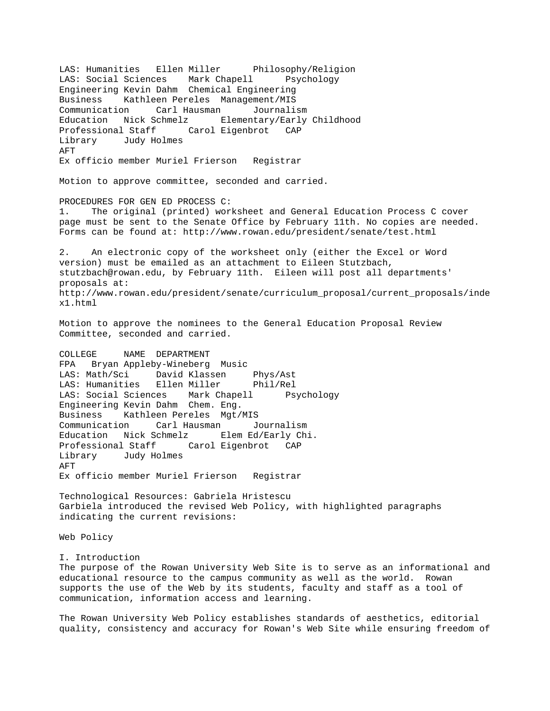LAS: Humanities Ellen Miller Philosophy/Religion LAS: Social Sciences Mark Chapell Psychology Engineering Kevin Dahm Chemical Engineering Business Kathleen Pereles Management/MIS Communication Carl Hausman Journalism Education Nick Schmelz Elementary/Early Childhood Professional Staff Carol Eigenbrot CAP Library Judy Holmes AFT Ex officio member Muriel Frierson Registrar Motion to approve committee, seconded and carried. PROCEDURES FOR GEN ED PROCESS C: 1. The original (printed) worksheet and General Education Process C cover page must be sent to the Senate Office by February 11th. No copies are needed. Forms can be found at: http://www.rowan.edu/president/senate/test.html 2. An electronic copy of the worksheet only (either the Excel or Word version) must be emailed as an attachment to Eileen Stutzbach, stutzbach@rowan.edu, by February 11th. Eileen will post all departments' proposals at: http://www.rowan.edu/president/senate/curriculum\_proposal/current\_proposals/inde x1.html Motion to approve the nominees to the General Education Proposal Review Committee, seconded and carried. COLLEGE NAME DEPARTMENT FPA Bryan Appleby-Wineberg Music LAS: Math/Sci David Klassen Phys/Ast LAS: Humanities Ellen Miller Phil/Rel LAS: Social Sciences Mark Chapell Psychology Engineering Kevin Dahm Chem. Eng. Business Kathleen Pereles Mgt/MIS Communication Carl Hausman Journalism Education Nick Schmelz Elem Ed/Early Chi. Professional Staff Carol Eigenbrot CAP Library Judy Holmes AFT Ex officio member Muriel Frierson Registrar Technological Resources: Gabriela Hristescu Garbiela introduced the revised Web Policy, with highlighted paragraphs indicating the current revisions: Web Policy I. Introduction The purpose of the Rowan University Web Site is to serve as an informational and educational resource to the campus community as well as the world. Rowan supports the use of the Web by its students, faculty and staff as a tool of communication, information access and learning.

The Rowan University Web Policy establishes standards of aesthetics, editorial quality, consistency and accuracy for Rowan's Web Site while ensuring freedom of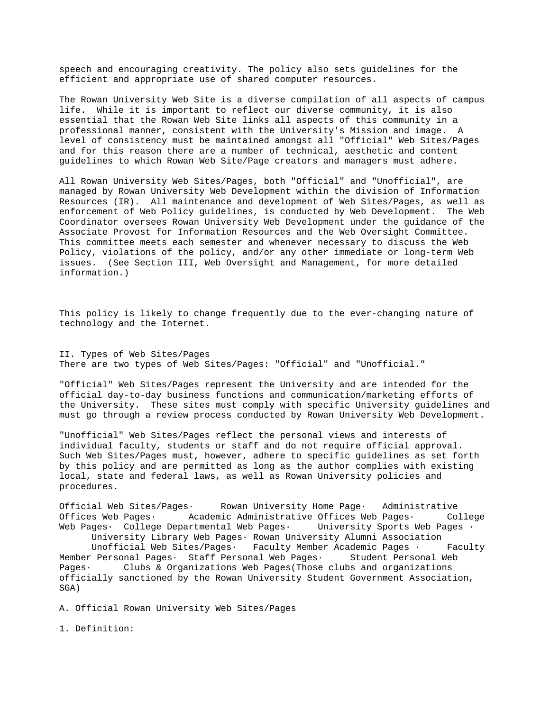speech and encouraging creativity. The policy also sets guidelines for the efficient and appropriate use of shared computer resources.

The Rowan University Web Site is a diverse compilation of all aspects of campus life. While it is important to reflect our diverse community, it is also essential that the Rowan Web Site links all aspects of this community in a professional manner, consistent with the University's Mission and image. A level of consistency must be maintained amongst all "Official" Web Sites/Pages and for this reason there are a number of technical, aesthetic and content guidelines to which Rowan Web Site/Page creators and managers must adhere.

All Rowan University Web Sites/Pages, both "Official" and "Unofficial", are managed by Rowan University Web Development within the division of Information Resources (IR). All maintenance and development of Web Sites/Pages, as well as enforcement of Web Policy guidelines, is conducted by Web Development. The Web Coordinator oversees Rowan University Web Development under the guidance of the Associate Provost for Information Resources and the Web Oversight Committee. This committee meets each semester and whenever necessary to discuss the Web Policy, violations of the policy, and/or any other immediate or long-term Web issues. (See Section III, Web Oversight and Management, for more detailed information.)

This policy is likely to change frequently due to the ever-changing nature of technology and the Internet.

II. Types of Web Sites/Pages There are two types of Web Sites/Pages: "Official" and "Unofficial."

"Official" Web Sites/Pages represent the University and are intended for the official day-to-day business functions and communication/marketing efforts of the University. These sites must comply with specific University guidelines and must go through a review process conducted by Rowan University Web Development.

"Unofficial" Web Sites/Pages reflect the personal views and interests of individual faculty, students or staff and do not require official approval. Such Web Sites/Pages must, however, adhere to specific guidelines as set forth by this policy and are permitted as long as the author complies with existing local, state and federal laws, as well as Rowan University policies and procedures.

Official Web Sites/Pages· Rowan University Home Page· Administrative Offices Web Pages· Academic Administrative Offices Web Pages· College Web Pages· College Departmental Web Pages· University Sports Web Pages · University Library Web Pages· Rowan University Alumni Association Unofficial Web Sites/Pages · Faculty Member Academic Pages · Faculty Member Personal Pages· Staff Personal Web Pages· Student Personal Web Pages· Clubs & Organizations Web Pages(Those clubs and organizations officially sanctioned by the Rowan University Student Government Association, SGA)

A. Official Rowan University Web Sites/Pages

1. Definition: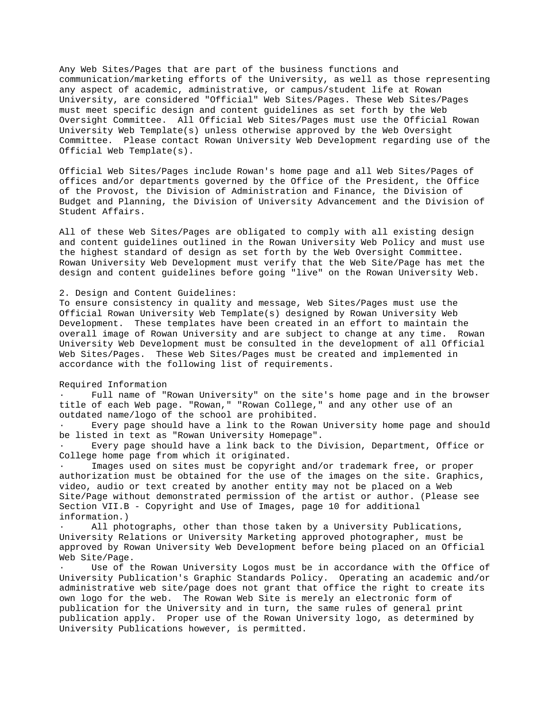Any Web Sites/Pages that are part of the business functions and communication/marketing efforts of the University, as well as those representing any aspect of academic, administrative, or campus/student life at Rowan University, are considered "Official" Web Sites/Pages. These Web Sites/Pages must meet specific design and content guidelines as set forth by the Web Oversight Committee. All Official Web Sites/Pages must use the Official Rowan University Web Template(s) unless otherwise approved by the Web Oversight Committee. Please contact Rowan University Web Development regarding use of the Official Web Template(s).

Official Web Sites/Pages include Rowan's home page and all Web Sites/Pages of offices and/or departments governed by the Office of the President, the Office of the Provost, the Division of Administration and Finance, the Division of Budget and Planning, the Division of University Advancement and the Division of Student Affairs.

All of these Web Sites/Pages are obligated to comply with all existing design and content guidelines outlined in the Rowan University Web Policy and must use the highest standard of design as set forth by the Web Oversight Committee. Rowan University Web Development must verify that the Web Site/Page has met the design and content guidelines before going "live" on the Rowan University Web.

### 2. Design and Content Guidelines:

To ensure consistency in quality and message, Web Sites/Pages must use the Official Rowan University Web Template(s) designed by Rowan University Web Development. These templates have been created in an effort to maintain the overall image of Rowan University and are subject to change at any time. Rowan University Web Development must be consulted in the development of all Official Web Sites/Pages. These Web Sites/Pages must be created and implemented in accordance with the following list of requirements.

### Required Information

Full name of "Rowan University" on the site's home page and in the browser title of each Web page. "Rowan," "Rowan College," and any other use of an outdated name/logo of the school are prohibited.

· Every page should have a link to the Rowan University home page and should be listed in text as "Rowan University Homepage".

· Every page should have a link back to the Division, Department, Office or College home page from which it originated.

Images used on sites must be copyright and/or trademark free, or proper authorization must be obtained for the use of the images on the site. Graphics, video, audio or text created by another entity may not be placed on a Web Site/Page without demonstrated permission of the artist or author. (Please see Section VII.B - Copyright and Use of Images, page 10 for additional information.)

All photographs, other than those taken by a University Publications, University Relations or University Marketing approved photographer, must be approved by Rowan University Web Development before being placed on an Official Web Site/Page.

Use of the Rowan University Logos must be in accordance with the Office of University Publication's Graphic Standards Policy. Operating an academic and/or administrative web site/page does not grant that office the right to create its own logo for the web. The Rowan Web Site is merely an electronic form of publication for the University and in turn, the same rules of general print publication apply. Proper use of the Rowan University logo, as determined by University Publications however, is permitted.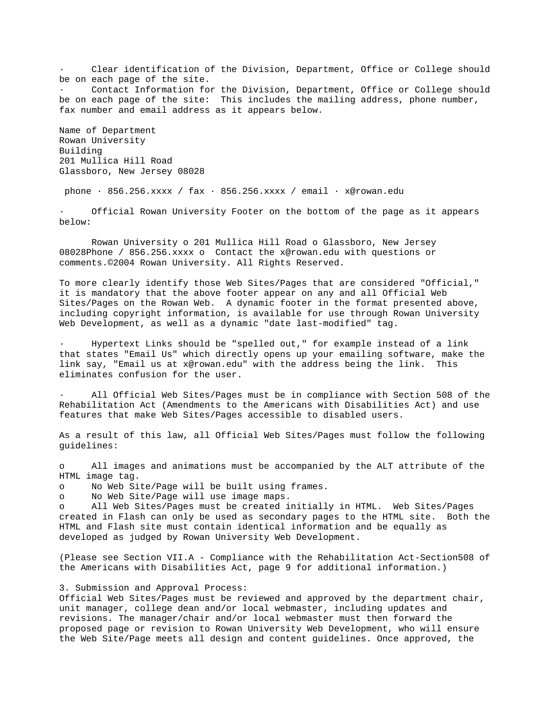Clear identification of the Division, Department, Office or College should be on each page of the site.

Contact Information for the Division, Department, Office or College should be on each page of the site: This includes the mailing address, phone number, fax number and email address as it appears below.

Name of Department Rowan University Building 201 Mullica Hill Road Glassboro, New Jersey 08028

phone  $\cdot$  856.256.xxxx / fax  $\cdot$  856.256.xxxx / email  $\cdot$  x@rowan.edu

Official Rowan University Footer on the bottom of the page as it appears below:

 Rowan University o 201 Mullica Hill Road o Glassboro, New Jersey 08028Phone / 856.256.xxxx o Contact the x@rowan.edu with questions or comments.©2004 Rowan University. All Rights Reserved.

To more clearly identify those Web Sites/Pages that are considered "Official," it is mandatory that the above footer appear on any and all Official Web Sites/Pages on the Rowan Web. A dynamic footer in the format presented above, including copyright information, is available for use through Rowan University Web Development, as well as a dynamic "date last-modified" tag.

Hypertext Links should be "spelled out," for example instead of a link that states "Email Us" which directly opens up your emailing software, make the link say, "Email us at x@rowan.edu" with the address being the link. This eliminates confusion for the user.

All Official Web Sites/Pages must be in compliance with Section 508 of the Rehabilitation Act (Amendments to the Americans with Disabilities Act) and use features that make Web Sites/Pages accessible to disabled users.

As a result of this law, all Official Web Sites/Pages must follow the following guidelines:

o All images and animations must be accompanied by the ALT attribute of the HTML image tag.

o No Web Site/Page will be built using frames.

o No Web Site/Page will use image maps.

o All Web Sites/Pages must be created initially in HTML. Web Sites/Pages created in Flash can only be used as secondary pages to the HTML site. Both the HTML and Flash site must contain identical information and be equally as developed as judged by Rowan University Web Development.

(Please see Section VII.A - Compliance with the Rehabilitation Act-Section508 of the Americans with Disabilities Act, page 9 for additional information.)

# 3. Submission and Approval Process:

Official Web Sites/Pages must be reviewed and approved by the department chair, unit manager, college dean and/or local webmaster, including updates and revisions. The manager/chair and/or local webmaster must then forward the proposed page or revision to Rowan University Web Development, who will ensure the Web Site/Page meets all design and content guidelines. Once approved, the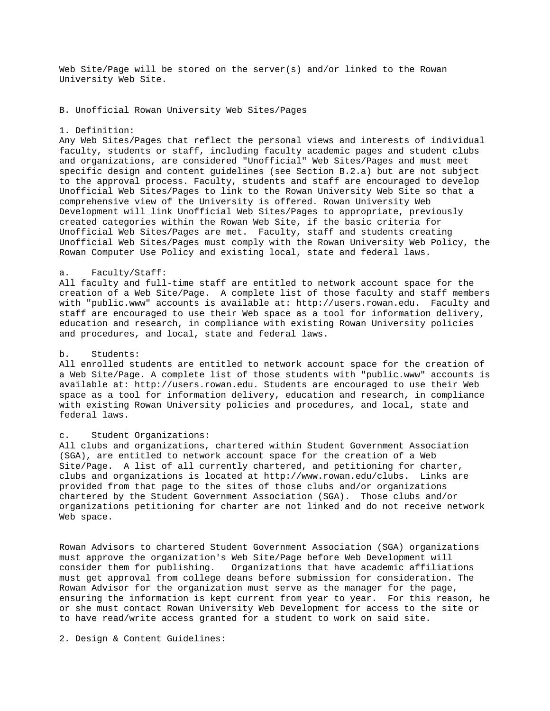Web Site/Page will be stored on the server(s) and/or linked to the Rowan University Web Site.

B. Unofficial Rowan University Web Sites/Pages

#### 1. Definition:

Any Web Sites/Pages that reflect the personal views and interests of individual faculty, students or staff, including faculty academic pages and student clubs and organizations, are considered "Unofficial" Web Sites/Pages and must meet specific design and content guidelines (see Section B.2.a) but are not subject to the approval process. Faculty, students and staff are encouraged to develop Unofficial Web Sites/Pages to link to the Rowan University Web Site so that a comprehensive view of the University is offered. Rowan University Web Development will link Unofficial Web Sites/Pages to appropriate, previously created categories within the Rowan Web Site, if the basic criteria for Unofficial Web Sites/Pages are met. Faculty, staff and students creating Unofficial Web Sites/Pages must comply with the Rowan University Web Policy, the Rowan Computer Use Policy and existing local, state and federal laws.

# a. Faculty/Staff:

All faculty and full-time staff are entitled to network account space for the creation of a Web Site/Page. A complete list of those faculty and staff members with "public.www" accounts is available at: http://users.rowan.edu. Faculty and staff are encouraged to use their Web space as a tool for information delivery, education and research, in compliance with existing Rowan University policies and procedures, and local, state and federal laws.

# b. Students:

All enrolled students are entitled to network account space for the creation of a Web Site/Page. A complete list of those students with "public.www" accounts is available at: http://users.rowan.edu. Students are encouraged to use their Web space as a tool for information delivery, education and research, in compliance with existing Rowan University policies and procedures, and local, state and federal laws.

#### c. Student Organizations:

All clubs and organizations, chartered within Student Government Association (SGA), are entitled to network account space for the creation of a Web Site/Page. A list of all currently chartered, and petitioning for charter, clubs and organizations is located at http://www.rowan.edu/clubs. Links are provided from that page to the sites of those clubs and/or organizations chartered by the Student Government Association (SGA). Those clubs and/or organizations petitioning for charter are not linked and do not receive network Web space.

Rowan Advisors to chartered Student Government Association (SGA) organizations must approve the organization's Web Site/Page before Web Development will consider them for publishing. Organizations that have academic affiliations must get approval from college deans before submission for consideration. The Rowan Advisor for the organization must serve as the manager for the page, ensuring the information is kept current from year to year. For this reason, he or she must contact Rowan University Web Development for access to the site or to have read/write access granted for a student to work on said site.

2. Design & Content Guidelines: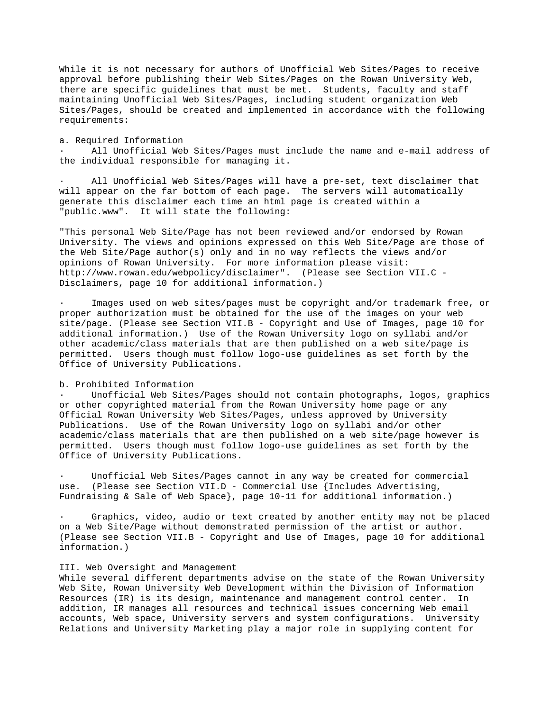While it is not necessary for authors of Unofficial Web Sites/Pages to receive approval before publishing their Web Sites/Pages on the Rowan University Web, there are specific guidelines that must be met. Students, faculty and staff maintaining Unofficial Web Sites/Pages, including student organization Web Sites/Pages, should be created and implemented in accordance with the following requirements:

#### a. Required Information

All Unofficial Web Sites/Pages must include the name and e-mail address of the individual responsible for managing it.

All Unofficial Web Sites/Pages will have a pre-set, text disclaimer that will appear on the far bottom of each page. The servers will automatically generate this disclaimer each time an html page is created within a "public.www". It will state the following:

"This personal Web Site/Page has not been reviewed and/or endorsed by Rowan University. The views and opinions expressed on this Web Site/Page are those of the Web Site/Page author(s) only and in no way reflects the views and/or opinions of Rowan University. For more information please visit: http://www.rowan.edu/webpolicy/disclaimer". (Please see Section VII.C - Disclaimers, page 10 for additional information.)

Images used on web sites/pages must be copyright and/or trademark free, or proper authorization must be obtained for the use of the images on your web site/page. (Please see Section VII.B - Copyright and Use of Images, page 10 for additional information.) Use of the Rowan University logo on syllabi and/or other academic/class materials that are then published on a web site/page is permitted. Users though must follow logo-use guidelines as set forth by the Office of University Publications.

# b. Prohibited Information

Unofficial Web Sites/Pages should not contain photographs, logos, graphics or other copyrighted material from the Rowan University home page or any Official Rowan University Web Sites/Pages, unless approved by University Publications. Use of the Rowan University logo on syllabi and/or other academic/class materials that are then published on a web site/page however is permitted. Users though must follow logo-use guidelines as set forth by the Office of University Publications.

Unofficial Web Sites/Pages cannot in any way be created for commercial use. (Please see Section VII.D - Commercial Use {Includes Advertising, Fundraising & Sale of Web Space}, page 10-11 for additional information.)

Graphics, video, audio or text created by another entity may not be placed on a Web Site/Page without demonstrated permission of the artist or author. (Please see Section VII.B - Copyright and Use of Images, page 10 for additional information.)

# III. Web Oversight and Management

While several different departments advise on the state of the Rowan University Web Site, Rowan University Web Development within the Division of Information Resources (IR) is its design, maintenance and management control center. In addition, IR manages all resources and technical issues concerning Web email accounts, Web space, University servers and system configurations. University Relations and University Marketing play a major role in supplying content for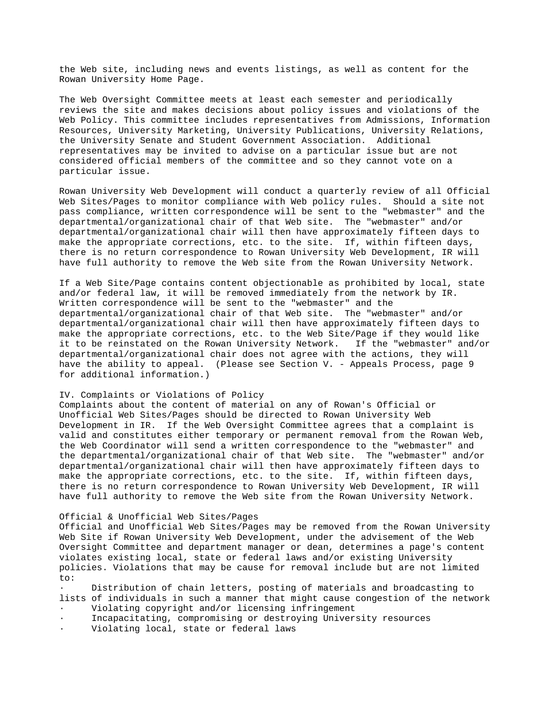the Web site, including news and events listings, as well as content for the Rowan University Home Page.

The Web Oversight Committee meets at least each semester and periodically reviews the site and makes decisions about policy issues and violations of the Web Policy. This committee includes representatives from Admissions, Information Resources, University Marketing, University Publications, University Relations, the University Senate and Student Government Association. Additional representatives may be invited to advise on a particular issue but are not considered official members of the committee and so they cannot vote on a particular issue.

Rowan University Web Development will conduct a quarterly review of all Official Web Sites/Pages to monitor compliance with Web policy rules. Should a site not pass compliance, written correspondence will be sent to the "webmaster" and the departmental/organizational chair of that Web site. The "webmaster" and/or departmental/organizational chair will then have approximately fifteen days to make the appropriate corrections, etc. to the site. If, within fifteen days, there is no return correspondence to Rowan University Web Development, IR will have full authority to remove the Web site from the Rowan University Network.

If a Web Site/Page contains content objectionable as prohibited by local, state and/or federal law, it will be removed immediately from the network by IR. Written correspondence will be sent to the "webmaster" and the departmental/organizational chair of that Web site. The "webmaster" and/or departmental/organizational chair will then have approximately fifteen days to make the appropriate corrections, etc. to the Web Site/Page if they would like it to be reinstated on the Rowan University Network. If the "webmaster" and/or departmental/organizational chair does not agree with the actions, they will have the ability to appeal. (Please see Section V. - Appeals Process, page 9 for additional information.)

# IV. Complaints or Violations of Policy

Complaints about the content of material on any of Rowan's Official or Unofficial Web Sites/Pages should be directed to Rowan University Web Development in IR. If the Web Oversight Committee agrees that a complaint is valid and constitutes either temporary or permanent removal from the Rowan Web, the Web Coordinator will send a written correspondence to the "webmaster" and the departmental/organizational chair of that Web site. The "webmaster" and/or departmental/organizational chair will then have approximately fifteen days to make the appropriate corrections, etc. to the site. If, within fifteen days, there is no return correspondence to Rowan University Web Development, IR will have full authority to remove the Web site from the Rowan University Network.

# Official & Unofficial Web Sites/Pages

Official and Unofficial Web Sites/Pages may be removed from the Rowan University Web Site if Rowan University Web Development, under the advisement of the Web Oversight Committee and department manager or dean, determines a page's content violates existing local, state or federal laws and/or existing University policies. Violations that may be cause for removal include but are not limited to:

Distribution of chain letters, posting of materials and broadcasting to lists of individuals in such a manner that might cause congestion of the network

- Violating copyright and/or licensing infringement
- · Incapacitating, compromising or destroying University resources
- Violating local, state or federal laws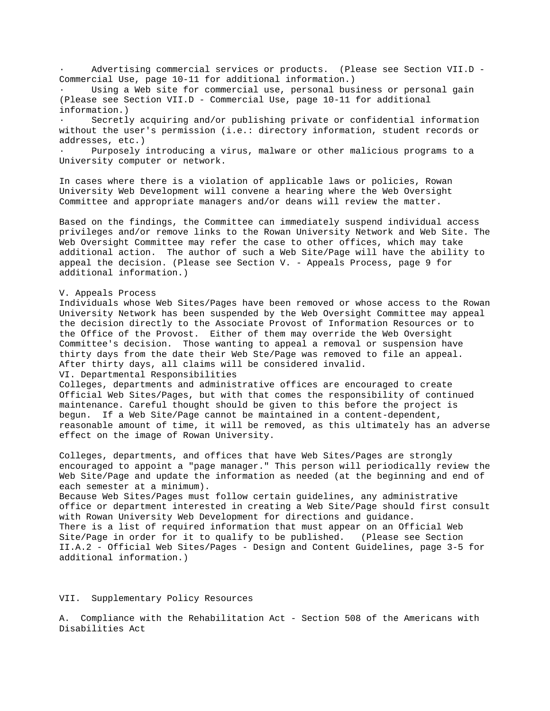Advertising commercial services or products. (Please see Section VII.D -Commercial Use, page 10-11 for additional information.)

Using a Web site for commercial use, personal business or personal gain (Please see Section VII.D - Commercial Use, page 10-11 for additional information.)

Secretly acquiring and/or publishing private or confidential information without the user's permission (i.e.: directory information, student records or addresses, etc.)

Purposely introducing a virus, malware or other malicious programs to a University computer or network.

In cases where there is a violation of applicable laws or policies, Rowan University Web Development will convene a hearing where the Web Oversight Committee and appropriate managers and/or deans will review the matter.

Based on the findings, the Committee can immediately suspend individual access privileges and/or remove links to the Rowan University Network and Web Site. The Web Oversight Committee may refer the case to other offices, which may take additional action. The author of such a Web Site/Page will have the ability to appeal the decision. (Please see Section V. - Appeals Process, page 9 for additional information.)

#### V. Appeals Process

Individuals whose Web Sites/Pages have been removed or whose access to the Rowan University Network has been suspended by the Web Oversight Committee may appeal the decision directly to the Associate Provost of Information Resources or to the Office of the Provost. Either of them may override the Web Oversight Committee's decision. Those wanting to appeal a removal or suspension have thirty days from the date their Web Ste/Page was removed to file an appeal. After thirty days, all claims will be considered invalid.

VI. Departmental Responsibilities

Colleges, departments and administrative offices are encouraged to create Official Web Sites/Pages, but with that comes the responsibility of continued maintenance. Careful thought should be given to this before the project is begun. If a Web Site/Page cannot be maintained in a content-dependent, reasonable amount of time, it will be removed, as this ultimately has an adverse effect on the image of Rowan University.

Colleges, departments, and offices that have Web Sites/Pages are strongly encouraged to appoint a "page manager." This person will periodically review the Web Site/Page and update the information as needed (at the beginning and end of each semester at a minimum). Because Web Sites/Pages must follow certain guidelines, any administrative office or department interested in creating a Web Site/Page should first consult with Rowan University Web Development for directions and guidance. There is a list of required information that must appear on an Official Web Site/Page in order for it to qualify to be published. (Please see Section

II.A.2 - Official Web Sites/Pages - Design and Content Guidelines, page 3-5 for additional information.)

# VII. Supplementary Policy Resources

A. Compliance with the Rehabilitation Act - Section 508 of the Americans with Disabilities Act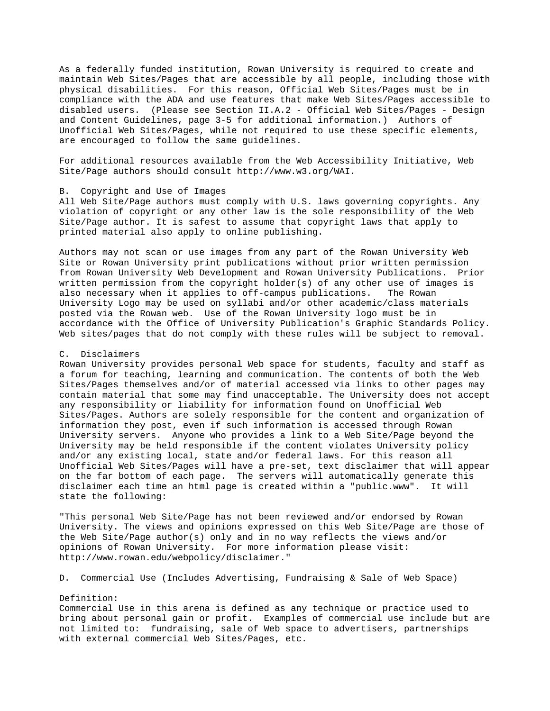As a federally funded institution, Rowan University is required to create and maintain Web Sites/Pages that are accessible by all people, including those with physical disabilities. For this reason, Official Web Sites/Pages must be in compliance with the ADA and use features that make Web Sites/Pages accessible to disabled users. (Please see Section II.A.2 - Official Web Sites/Pages - Design and Content Guidelines, page 3-5 for additional information.) Authors of Unofficial Web Sites/Pages, while not required to use these specific elements, are encouraged to follow the same guidelines.

For additional resources available from the Web Accessibility Initiative, Web Site/Page authors should consult http://www.w3.org/WAI.

#### B. Copyright and Use of Images

All Web Site/Page authors must comply with U.S. laws governing copyrights. Any violation of copyright or any other law is the sole responsibility of the Web Site/Page author. It is safest to assume that copyright laws that apply to printed material also apply to online publishing.

Authors may not scan or use images from any part of the Rowan University Web Site or Rowan University print publications without prior written permission from Rowan University Web Development and Rowan University Publications. Prior written permission from the copyright holder(s) of any other use of images is also necessary when it applies to off-campus publications. The Rowan University Logo may be used on syllabi and/or other academic/class materials posted via the Rowan web. Use of the Rowan University logo must be in accordance with the Office of University Publication's Graphic Standards Policy. Web sites/pages that do not comply with these rules will be subject to removal.

### C. Disclaimers

Rowan University provides personal Web space for students, faculty and staff as a forum for teaching, learning and communication. The contents of both the Web Sites/Pages themselves and/or of material accessed via links to other pages may contain material that some may find unacceptable. The University does not accept any responsibility or liability for information found on Unofficial Web Sites/Pages. Authors are solely responsible for the content and organization of information they post, even if such information is accessed through Rowan University servers. Anyone who provides a link to a Web Site/Page beyond the University may be held responsible if the content violates University policy and/or any existing local, state and/or federal laws. For this reason all Unofficial Web Sites/Pages will have a pre-set, text disclaimer that will appear on the far bottom of each page. The servers will automatically generate this disclaimer each time an html page is created within a "public.www". It will state the following:

"This personal Web Site/Page has not been reviewed and/or endorsed by Rowan University. The views and opinions expressed on this Web Site/Page are those of the Web Site/Page author(s) only and in no way reflects the views and/or opinions of Rowan University. For more information please visit: http://www.rowan.edu/webpolicy/disclaimer."

D. Commercial Use (Includes Advertising, Fundraising & Sale of Web Space)

#### Definition:

Commercial Use in this arena is defined as any technique or practice used to bring about personal gain or profit. Examples of commercial use include but are not limited to: fundraising, sale of Web space to advertisers, partnerships with external commercial Web Sites/Pages, etc.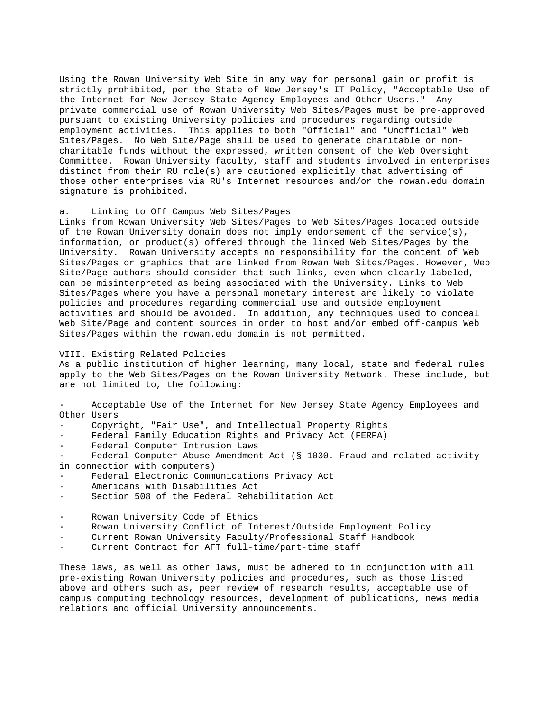Using the Rowan University Web Site in any way for personal gain or profit is strictly prohibited, per the State of New Jersey's IT Policy, "Acceptable Use of the Internet for New Jersey State Agency Employees and Other Users." Any private commercial use of Rowan University Web Sites/Pages must be pre-approved pursuant to existing University policies and procedures regarding outside employment activities. This applies to both "Official" and "Unofficial" Web Sites/Pages. No Web Site/Page shall be used to generate charitable or noncharitable funds without the expressed, written consent of the Web Oversight Committee. Rowan University faculty, staff and students involved in enterprises distinct from their RU role(s) are cautioned explicitly that advertising of those other enterprises via RU's Internet resources and/or the rowan.edu domain signature is prohibited.

### a. Linking to Off Campus Web Sites/Pages

Links from Rowan University Web Sites/Pages to Web Sites/Pages located outside of the Rowan University domain does not imply endorsement of the service(s), information, or product(s) offered through the linked Web Sites/Pages by the University. Rowan University accepts no responsibility for the content of Web Sites/Pages or graphics that are linked from Rowan Web Sites/Pages. However, Web Site/Page authors should consider that such links, even when clearly labeled, can be misinterpreted as being associated with the University. Links to Web Sites/Pages where you have a personal monetary interest are likely to violate policies and procedures regarding commercial use and outside employment activities and should be avoided. In addition, any techniques used to conceal Web Site/Page and content sources in order to host and/or embed off-campus Web Sites/Pages within the rowan.edu domain is not permitted.

### VIII. Existing Related Policies

As a public institution of higher learning, many local, state and federal rules apply to the Web Sites/Pages on the Rowan University Network. These include, but are not limited to, the following:

Acceptable Use of the Internet for New Jersey State Agency Employees and Other Users

- Copyright, "Fair Use", and Intellectual Property Rights
- Federal Family Education Rights and Privacy Act (FERPA)
- Federal Computer Intrusion Laws

Federal Computer Abuse Amendment Act (§ 1030. Fraud and related activity in connection with computers)

- Federal Electronic Communications Privacy Act
- Americans with Disabilities Act
- Section 508 of the Federal Rehabilitation Act
- Rowan University Code of Ethics
- · Rowan University Conflict of Interest/Outside Employment Policy
- Current Rowan University Faculty/Professional Staff Handbook
- Current Contract for AFT full-time/part-time staff

These laws, as well as other laws, must be adhered to in conjunction with all pre-existing Rowan University policies and procedures, such as those listed above and others such as, peer review of research results, acceptable use of campus computing technology resources, development of publications, news media relations and official University announcements.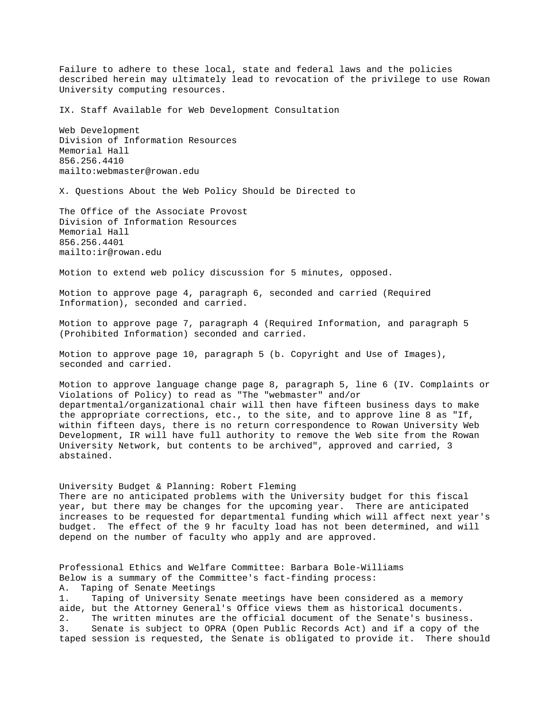Failure to adhere to these local, state and federal laws and the policies described herein may ultimately lead to revocation of the privilege to use Rowan University computing resources.

IX. Staff Available for Web Development Consultation

Web Development Division of Information Resources Memorial Hall 856.256.4410 mailto:webmaster@rowan.edu

X. Questions About the Web Policy Should be Directed to

The Office of the Associate Provost Division of Information Resources Memorial Hall 856.256.4401 mailto:ir@rowan.edu

Motion to extend web policy discussion for 5 minutes, opposed.

Motion to approve page 4, paragraph 6, seconded and carried (Required Information), seconded and carried.

Motion to approve page 7, paragraph 4 (Required Information, and paragraph 5 (Prohibited Information) seconded and carried.

Motion to approve page 10, paragraph 5 (b. Copyright and Use of Images), seconded and carried.

Motion to approve language change page 8, paragraph 5, line 6 (IV. Complaints or Violations of Policy) to read as "The "webmaster" and/or departmental/organizational chair will then have fifteen business days to make the appropriate corrections, etc., to the site, and to approve line 8 as "If, within fifteen days, there is no return correspondence to Rowan University Web Development, IR will have full authority to remove the Web site from the Rowan University Network, but contents to be archived", approved and carried, 3 abstained.

University Budget & Planning: Robert Fleming There are no anticipated problems with the University budget for this fiscal year, but there may be changes for the upcoming year. There are anticipated increases to be requested for departmental funding which will affect next year's budget. The effect of the 9 hr faculty load has not been determined, and will depend on the number of faculty who apply and are approved.

Professional Ethics and Welfare Committee: Barbara Bole-Williams Below is a summary of the Committee's fact-finding process: A. Taping of Senate Meetings 1. Taping of University Senate meetings have been considered as a memory aide, but the Attorney General's Office views them as historical documents. 2. The written minutes are the official document of the Senate's business. 3. Senate is subject to OPRA (Open Public Records Act) and if a copy of the taped session is requested, the Senate is obligated to provide it. There should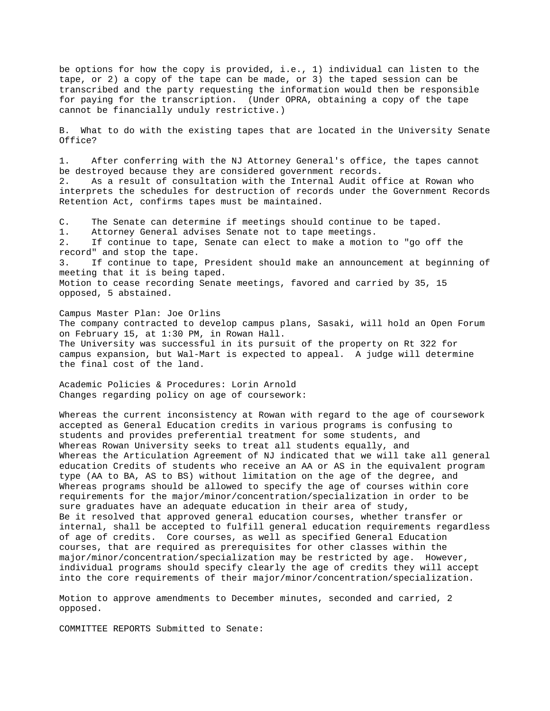be options for how the copy is provided, i.e., 1) individual can listen to the tape, or 2) a copy of the tape can be made, or 3) the taped session can be transcribed and the party requesting the information would then be responsible for paying for the transcription. (Under OPRA, obtaining a copy of the tape cannot be financially unduly restrictive.)

B. What to do with the existing tapes that are located in the University Senate Office?

1. After conferring with the NJ Attorney General's office, the tapes cannot be destroyed because they are considered government records. 2. As a result of consultation with the Internal Audit office at Rowan who interprets the schedules for destruction of records under the Government Records Retention Act, confirms tapes must be maintained.

C. The Senate can determine if meetings should continue to be taped. 1. Attorney General advises Senate not to tape meetings. 2. If continue to tape, Senate can elect to make a motion to "go off the record" and stop the tape. 3. If continue to tape, President should make an announcement at beginning of meeting that it is being taped. Motion to cease recording Senate meetings, favored and carried by 35, 15 opposed, 5 abstained.

Campus Master Plan: Joe Orlins The company contracted to develop campus plans, Sasaki, will hold an Open Forum on February 15, at 1:30 PM, in Rowan Hall. The University was successful in its pursuit of the property on Rt 322 for campus expansion, but Wal-Mart is expected to appeal. A judge will determine the final cost of the land.

Academic Policies & Procedures: Lorin Arnold Changes regarding policy on age of coursework:

Whereas the current inconsistency at Rowan with regard to the age of coursework accepted as General Education credits in various programs is confusing to students and provides preferential treatment for some students, and Whereas Rowan University seeks to treat all students equally, and Whereas the Articulation Agreement of NJ indicated that we will take all general education Credits of students who receive an AA or AS in the equivalent program type (AA to BA, AS to BS) without limitation on the age of the degree, and Whereas programs should be allowed to specify the age of courses within core requirements for the major/minor/concentration/specialization in order to be sure graduates have an adequate education in their area of study, Be it resolved that approved general education courses, whether transfer or internal, shall be accepted to fulfill general education requirements regardless of age of credits. Core courses, as well as specified General Education courses, that are required as prerequisites for other classes within the major/minor/concentration/specialization may be restricted by age. However, individual programs should specify clearly the age of credits they will accept into the core requirements of their major/minor/concentration/specialization.

Motion to approve amendments to December minutes, seconded and carried, 2 opposed.

COMMITTEE REPORTS Submitted to Senate: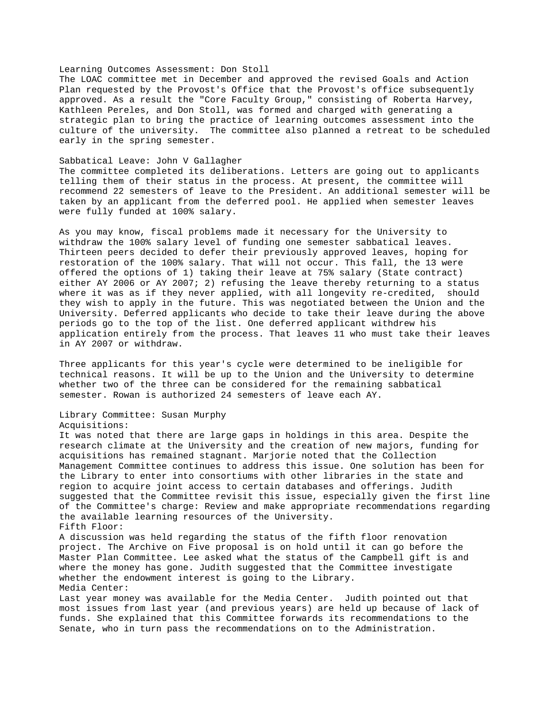### Learning Outcomes Assessment: Don Stoll

The LOAC committee met in December and approved the revised Goals and Action Plan requested by the Provost's Office that the Provost's office subsequently approved. As a result the "Core Faculty Group," consisting of Roberta Harvey, Kathleen Pereles, and Don Stoll, was formed and charged with generating a strategic plan to bring the practice of learning outcomes assessment into the culture of the university. The committee also planned a retreat to be scheduled early in the spring semester.

#### Sabbatical Leave: John V Gallagher

The committee completed its deliberations. Letters are going out to applicants telling them of their status in the process. At present, the committee will recommend 22 semesters of leave to the President. An additional semester will be taken by an applicant from the deferred pool. He applied when semester leaves were fully funded at 100% salary.

As you may know, fiscal problems made it necessary for the University to withdraw the 100% salary level of funding one semester sabbatical leaves. Thirteen peers decided to defer their previously approved leaves, hoping for restoration of the 100% salary. That will not occur. This fall, the 13 were offered the options of 1) taking their leave at 75% salary (State contract) either AY 2006 or AY 2007; 2) refusing the leave thereby returning to a status where it was as if they never applied, with all longevity re-credited, should they wish to apply in the future. This was negotiated between the Union and the University. Deferred applicants who decide to take their leave during the above periods go to the top of the list. One deferred applicant withdrew his application entirely from the process. That leaves 11 who must take their leaves in AY 2007 or withdraw.

Three applicants for this year's cycle were determined to be ineligible for technical reasons. It will be up to the Union and the University to determine whether two of the three can be considered for the remaining sabbatical semester. Rowan is authorized 24 semesters of leave each AY.

# Library Committee: Susan Murphy Acquisitions:

It was noted that there are large gaps in holdings in this area. Despite the research climate at the University and the creation of new majors, funding for acquisitions has remained stagnant. Marjorie noted that the Collection Management Committee continues to address this issue. One solution has been for the Library to enter into consortiums with other libraries in the state and region to acquire joint access to certain databases and offerings. Judith suggested that the Committee revisit this issue, especially given the first line of the Committee's charge: Review and make appropriate recommendations regarding the available learning resources of the University. Fifth Floor: A discussion was held regarding the status of the fifth floor renovation

project. The Archive on Five proposal is on hold until it can go before the Master Plan Committee. Lee asked what the status of the Campbell gift is and where the money has gone. Judith suggested that the Committee investigate whether the endowment interest is going to the Library. Media Center:

Last year money was available for the Media Center. Judith pointed out that most issues from last year (and previous years) are held up because of lack of funds. She explained that this Committee forwards its recommendations to the Senate, who in turn pass the recommendations on to the Administration.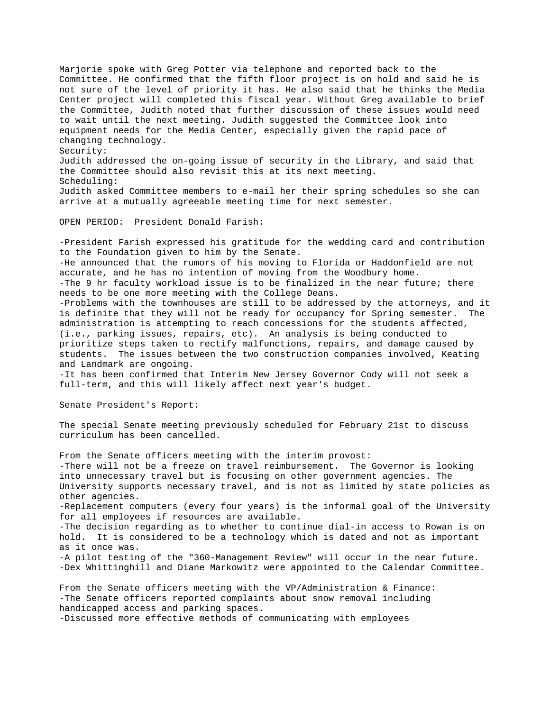Marjorie spoke with Greg Potter via telephone and reported back to the Committee. He confirmed that the fifth floor project is on hold and said he is not sure of the level of priority it has. He also said that he thinks the Media Center project will completed this fiscal year. Without Greg available to brief the Committee, Judith noted that further discussion of these issues would need to wait until the next meeting. Judith suggested the Committee look into equipment needs for the Media Center, especially given the rapid pace of changing technology. Security: Judith addressed the on-going issue of security in the Library, and said that the Committee should also revisit this at its next meeting. Scheduling: Judith asked Committee members to e-mail her their spring schedules so she can arrive at a mutually agreeable meeting time for next semester.

OPEN PERIOD: President Donald Farish:

-President Farish expressed his gratitude for the wedding card and contribution to the Foundation given to him by the Senate. -He announced that the rumors of his moving to Florida or Haddonfield are not accurate, and he has no intention of moving from the Woodbury home. -The 9 hr faculty workload issue is to be finalized in the near future; there needs to be one more meeting with the College Deans. -Problems with the townhouses are still to be addressed by the attorneys, and it is definite that they will not be ready for occupancy for Spring semester. The administration is attempting to reach concessions for the students affected, (i.e., parking issues, repairs, etc). An analysis is being conducted to prioritize steps taken to rectify malfunctions, repairs, and damage caused by students. The issues between the two construction companies involved, Keating and Landmark are ongoing.

-It has been confirmed that Interim New Jersey Governor Cody will not seek a full-term, and this will likely affect next year's budget.

Senate President's Report:

The special Senate meeting previously scheduled for February 21st to discuss curriculum has been cancelled.

From the Senate officers meeting with the interim provost: -There will not be a freeze on travel reimbursement. The Governor is looking into unnecessary travel but is focusing on other government agencies. The University supports necessary travel, and is not as limited by state policies as other agencies. -Replacement computers (every four years) is the informal goal of the University for all employees if resources are available. -The decision regarding as to whether to continue dial-in access to Rowan is on hold. It is considered to be a technology which is dated and not as important as it once was. -A pilot testing of the "360-Management Review" will occur in the near future. -Dex Whittinghill and Diane Markowitz were appointed to the Calendar Committee. From the Senate officers meeting with the VP/Administration & Finance:

-The Senate officers reported complaints about snow removal including handicapped access and parking spaces. -Discussed more effective methods of communicating with employees